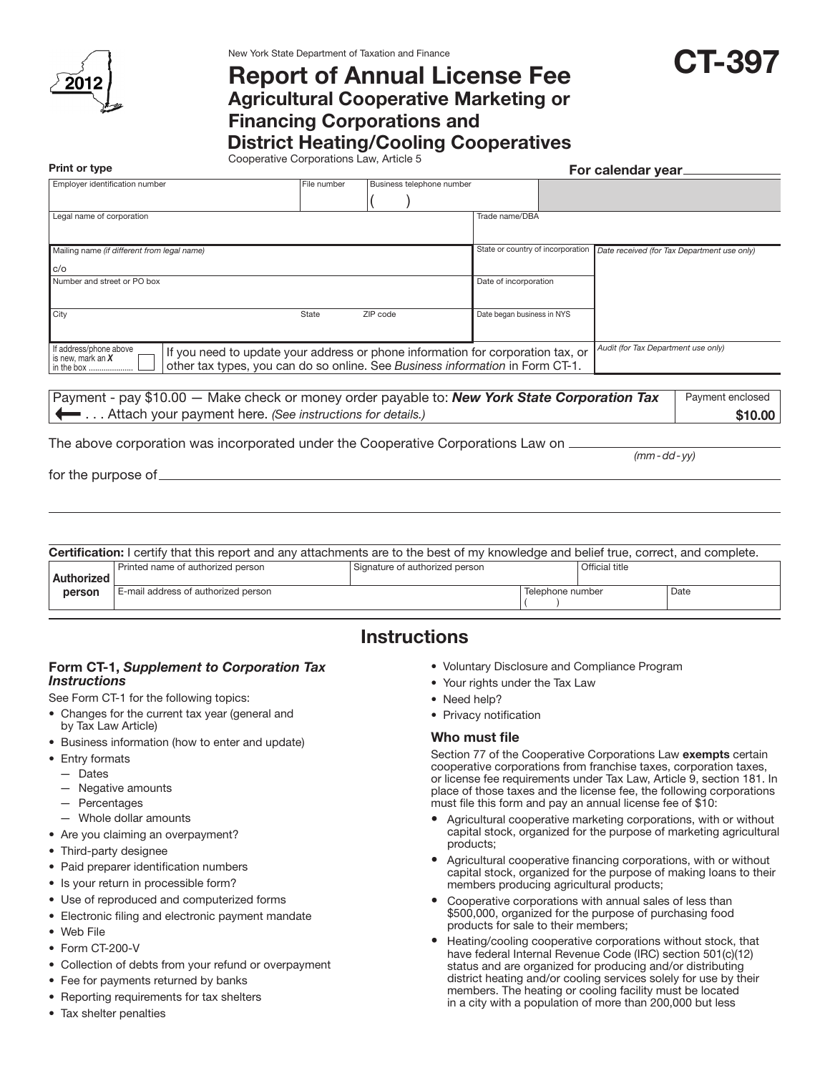

New York State Department of Taxation and Finance

# Report of Annual License Fee

Agricultural Cooperative Marketing or

### Financing Corporations and

## District Heating/Cooling Cooperatives

Cooperative Corporations Law, Article 5 Print or type For calendar year. The contract of the contract of the contract of the Formula of the calendar year.

| Employer identification number                                                                                          |                                                                                 | File number | Business telephone number |  |                                   |  |                                     |                                             |
|-------------------------------------------------------------------------------------------------------------------------|---------------------------------------------------------------------------------|-------------|---------------------------|--|-----------------------------------|--|-------------------------------------|---------------------------------------------|
|                                                                                                                         |                                                                                 |             |                           |  |                                   |  |                                     |                                             |
| Legal name of corporation                                                                                               |                                                                                 |             |                           |  | Trade name/DBA                    |  |                                     |                                             |
|                                                                                                                         |                                                                                 |             |                           |  |                                   |  |                                     |                                             |
| Mailing name (if different from legal name)                                                                             |                                                                                 |             |                           |  | State or country of incorporation |  |                                     | Date received (for Tax Department use only) |
| C/O                                                                                                                     |                                                                                 |             |                           |  |                                   |  |                                     |                                             |
| Number and street or PO box                                                                                             |                                                                                 |             |                           |  | Date of incorporation             |  |                                     |                                             |
|                                                                                                                         |                                                                                 |             |                           |  |                                   |  |                                     |                                             |
| City                                                                                                                    | State                                                                           |             | ZIP code                  |  | Date began business in NYS        |  |                                     |                                             |
|                                                                                                                         |                                                                                 |             |                           |  |                                   |  |                                     |                                             |
| If address/phone above<br>is new, mark an $X$                                                                           | If you need to update your address or phone information for corporation tax, or |             |                           |  |                                   |  | Audit (for Tax Department use only) |                                             |
| other tax types, you can do so online. See Business information in Form CT-1.<br>in the box                             |                                                                                 |             |                           |  |                                   |  |                                     |                                             |
|                                                                                                                         |                                                                                 |             |                           |  |                                   |  |                                     |                                             |
| Payment - pay \$10.00 - Make check or money order payable to: <b>New York State Corporation Tax</b><br>Payment enclosed |                                                                                 |             |                           |  |                                   |  |                                     |                                             |

 . . . Attach your payment here. *(See instructions for details.)*

The above corporation was incorporated under the Cooperative Corporations Law on

for the purpose of

Certification: I certify that this report and any attachments are to the best of my knowledge and belief true, correct, and complete. Authorized person Printed name of authorized person Signature of authorized person **Signature of authorized person** E-mail address of authorized person **Telephone number** and Date  $\vert$  ( )

# **Instructions**

### Form CT-1, *Supplement to Corporation Tax Instructions*

See Form CT-1 for the following topics:

- • Changes for the current tax year (general and by Tax Law Article)
- • Business information (how to enter and update)
- Entry formats
	- Dates
	- Negative amounts
	- Percentages
- Whole dollar amounts
- Are you claiming an overpayment?
- Third-party designee
- Paid preparer identification numbers
- Is your return in processible form?
- • Use of reproduced and computerized forms
- Electronic filing and electronic payment mandate
- • Web File
- Form CT-200-V
- Collection of debts from your refund or overpayment
- Fee for payments returned by banks
- Reporting requirements for tax shelters
- Tax shelter penalties
- • Voluntary Disclosure and Compliance Program
- Your rights under the Tax Law
- Need help?
- Privacy notification

#### Who must file

Section 77 of the Cooperative Corporations Law exempts certain cooperative corporations from franchise taxes, corporation taxes, or license fee requirements under Tax Law, Article 9, section 181. In place of those taxes and the license fee, the following corporations must file this form and pay an annual license fee of \$10:

- Agricultural cooperative marketing corporations, with or without capital stock, organized for the purpose of marketing agricultural products;
- Agricultural cooperative financing corporations, with or without capital stock, organized for the purpose of making loans to their members producing agricultural products;
- Cooperative corporations with annual sales of less than \$500,000, organized for the purpose of purchasing food products for sale to their members;
- • Heating/cooling cooperative corporations without stock, that have federal Internal Revenue Code (IRC) section 501(c)(12) status and are organized for producing and/or distributing district heating and/or cooling services solely for use by their members. The heating or cooling facility must be located in a city with a population of more than 200,000 but less

*(mm-dd- yy)*

\$10.00

CT-397